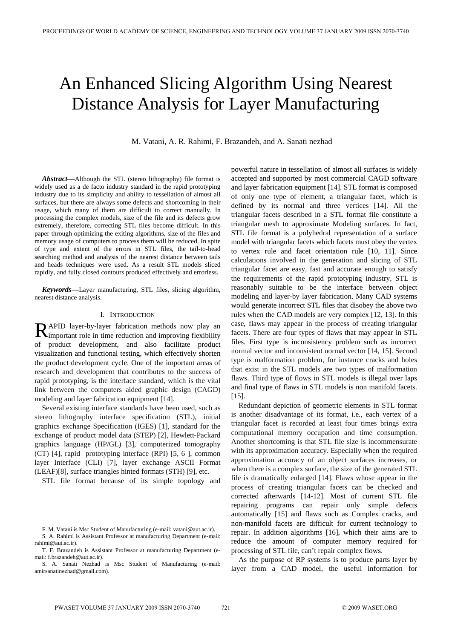# An Enhanced Slicing Algorithm Using Nearest Distance Analysis for Layer Manufacturing

M. Vatani, A. R. Rahimi, F. Brazandeh, and A. Sanati nezhad

*Abstract—*Although the STL (stereo lithography) file format is widely used as a de facto industry standard in the rapid prototyping industry due to its simplicity and ability to tessellation of almost all surfaces, but there are always some defects and shortcoming in their usage, which many of them are difficult to correct manually. In processing the complex models, size of the file and its defects grow extremely, therefore, correcting STL files become difficult. In this paper through optimizing the exiting algorithms, size of the files and memory usage of computers to process them will be reduced. In spite of type and extent of the errors in STL files, the tail-to-head searching method and analysis of the nearest distance between tails and heads techniques were used. As a result STL models sliced rapidly, and fully closed contours produced effectively and errorless.

*Keywords***—**Layer manufacturing, STL files, slicing algorithm, nearest distance analysis.

## I. INTRODUCTION

APID layer-by-layer fabrication methods now play an RAPID layer-by-layer fabrication methods now play an important role in time reduction and improving flexibility of product development, and also facilitate product visualization and functional testing, which effectively shorten the product development cycle. One of the important areas of research and development that contributes to the success of rapid prototyping, is the interface standard, which is the vital link between the computers aided graphic design (CAGD) modeling and layer fabrication equipment [14].

Several existing interface standards have been used, such as stereo lithography interface specification (STL), initial graphics exchange Specification (IGES) [1], standard for the exchange of product model data (STEP) [2], Hewlett-Packard graphics language (HP/GL) [3], computerized tomography (CT) [4], rapid prototyping interface (RPI) [5, 6 ], common layer Interface (CLI) [7], layer exchange ASCII Format (LEAF)[8], surface triangles hinted formats (STH) [9], etc.

STL file format because of its simple topology and

powerful nature in tessellation of almost all surfaces is widely accepted and supported by most commercial CAGD software and layer fabrication equipment [14]. STL format is composed of only one type of element, a triangular facet, which is defined by its normal and three vertices [14]. All the triangular facets described in a STL format file constitute a triangular mesh to approximate Modeling surfaces. In fact, STL file format is a polyhedral representation of a surface model with triangular facets which facets must obey the vertex to vertex rule and facet orientation rule [10, 11]. Since calculations involved in the generation and slicing of STL triangular facet are easy, fast and accurate enough to satisfy the requirements of the rapid prototyping industry, STL is reasonably suitable to be the interface between object modeling and layer-by layer fabrication. Many CAD systems would generate incorrect STL files that disobey the above two rules when the CAD models are very complex [12, 13]. In this case, flaws may appear in the process of creating triangular facets. There are four types of flaws that may appear in STL files. First type is inconsistency problem such as incorrect normal vector and inconsistent normal vector [14, 15]. Second type is malformation problem, for instance cracks and holes that exist in the STL models are two types of malformation flaws. Third type of flows in STL models is illegal over laps and final type of flaws in STL models is non manifold facets. [15].

Redundant depiction of geometric elements in STL format is another disadvantage of its format, i.e., each vertex of a triangular facet is recorded at least four times brings extra computational memory occupation and time consumption. Another shortcoming is that STL file size is incommensurate with its approximation accuracy. Especially when the required approximation accuracy of an object surfaces increases, or when there is a complex surface, the size of the generated STL file is dramatically enlarged [14]. Flaws whose appear in the process of creating triangular facets can be checked and corrected afterwards [14-12]. Most of current STL file repairing programs can repair only simple defects automatically [15] and flaws such as Complex cracks, and non-manifold facets are difficult for current technology to repair. In addition algorithms [16], which their aims are to reduce the amount of computer memory required for processing of STL file, can't repair complex flows.

As the purpose of RP systems is to produce parts layer by layer from a CAD model, the useful information for

F. M. Vatani is Msc Student of Manufacturing (e-mail: vatani@aut.ac.ir). S. A. Rahimi is Assistant Professor at manufacturing Department (e-mail:

rahimi@aut.ac.ir). T. F. Brazandeh is Assistant Professor at manufacturing Department (e-

mail: f.brazandeh@aut.ac.ir).

S. A. Sanati Nezhad is Msc Student of Manufacturing (e-mail: amirsanatinezhad@gmail.com).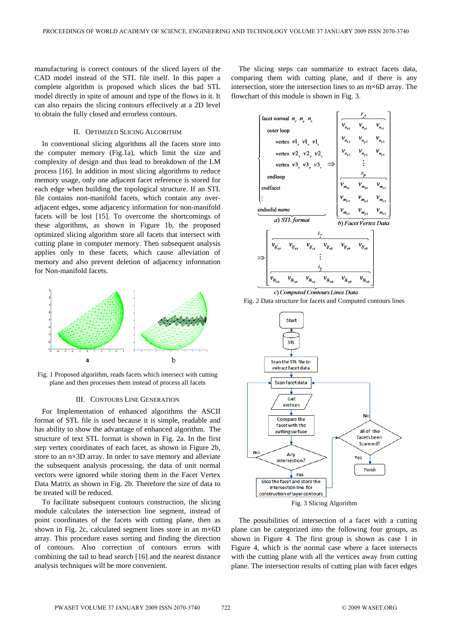manufacturing is correct contours of the sliced layers of the CAD model instead of the STL file itself. In this paper a complete algorithm is proposed which slices the bad STL model directly in spite of amount and type of the flows in it. It can also repairs the slicing contours effectively at a 2D level to obtain the fully closed and errorless contours.

## II. OPTIMIZED SLICING ALGORITHM

In conventional slicing algorithms all the facets store into the computer memory (Fig.1a), which limit the size and complexity of design and thus lead to breakdown of the LM process [16]. In addition in most slicing algorithms to reduce memory usage, only one adjacent facet reference is stored for each edge when building the topological structure. If an STL file contains non-manifold facets, which contain any overadjacent edges, some adjacency information for non-manifold facets will be lost [15]. To overcome the shortcomings of these algorithms, as shown in Figure 1b, the proposed optimized slicing algorithm store all facets that intersect with cutting plane in computer memory. Then subsequent analysis applies only to these facets, which cause alleviation of memory and also prevent deletion of adjacency information for Non-manifold facets.



Fig. 1 Proposed algorithm, reads facets which intersect with cutting plane and then processes them instead of process all facets

#### III. CONTOURS LINE GENERATION

For Implementation of enhanced algorithms the ASCII format of STL file is used because it is simple, readable and has ability to show the advantage of enhanced algorithm. The structure of text STL format is shown in Fig. 2a. In the first step vertex coordinates of each facet, as shown in Figure 2b, store to an n×3D array. In order to save memory and alleviate the subsequent analysis processing, the data of unit normal vectors were ignored while storing them in the Facet Vertex Data Matrix as shown in Fig. 2b. Therefore the size of data to be treated will be reduced.

To facilitate subsequent contours construction, the slicing module calculates the intersection line segment, instead of point coordinates of the facets with cutting plane, then as shown in Fig. 2c, calculated segment lines store in an  $m \times 6D$ array. This procedure eases sorting and finding the direction of contours. Also correction of contours errors with combining the tail to head search [16] and the nearest distance analysis techniques will be more convenient.

The slicing steps can summarize to extract facets data, comparing them with cutting plane, and if there is any intersection, store the intersection lines to an m×6D array. The flowchart of this module is shown in Fig. 3.









The possibilities of intersection of a facet with a cutting plane can be categorized into the following four groups, as shown in Figure 4. The first group is shown as case 1 in Figure 4, which is the normal case where a facet intersects with the cutting plane with all the vertices away from cutting plane. The intersection results of cutting plan with facet edges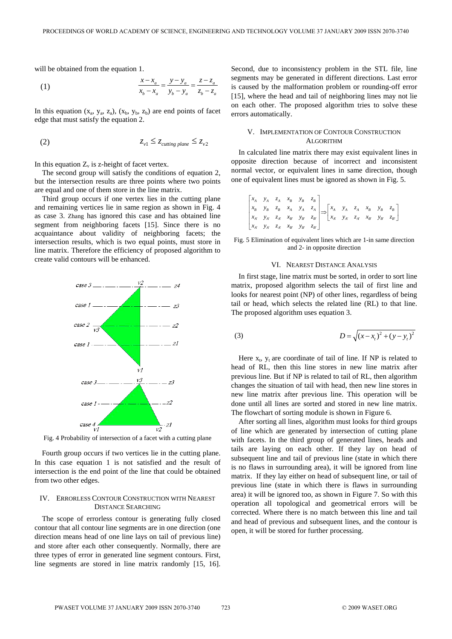will be obtained from the equation 1.

(1) 
$$
\frac{x - x_a}{x_b - x_a} = \frac{y - y_a}{y_b - y_a} = \frac{z - z_a}{z_b - z_a}
$$

In this equation  $(x_a, y_a, z_a)$ ,  $(x_b, y_b, z_b)$  are end points of facet edge that must satisfy the equation 2.

$$
(2) \t\t\t z_{v1} \le z_{cutting \ plane} \le z_{v2}
$$

In this equation  $Z_{\nu}$  is z-height of facet vertex.

The second group will satisfy the conditions of equation 2, but the intersection results are three points where two points are equal and one of them store in the line matrix.

Third group occurs if one vertex lies in the cutting plane and remaining vertices lie in same region as shown in Fig. 4 as case 3. Zhang has ignored this case and has obtained line segment from neighboring facets [15]. Since there is no acquaintance about validity of neighboring facets; the intersection results, which is two equal points, must store in line matrix. Therefore the efficiency of proposed algorithm to create valid contours will be enhanced.



Fig. 4 Probability of intersection of a facet with a cutting plane

Fourth group occurs if two vertices lie in the cutting plane. In this case equation 1 is not satisfied and the result of intersection is the end point of the line that could be obtained from two other edges.

### IV. ERRORLESS CONTOUR CONSTRUCTION WITH NEAREST DISTANCE SEARCHING

The scope of errorless contour is generating fully closed contour that all contour line segments are in one direction (one direction means head of one line lays on tail of previous line) and store after each other consequently. Normally, there are three types of error in generated line segment contours. First, line segments are stored in line matrix randomly [15, 16]. Second, due to inconsistency problem in the STL file, line segments may be generated in different directions. Last error is caused by the malformation problem or rounding-off error [15], where the head and tail of neighboring lines may not lie on each other. The proposed algorithm tries to solve these errors automatically.

## V. IMPLEMENTATION OF CONTOUR CONSTRUCTION ALGORITHM

In calculated line matrix there may exist equivalent lines in opposite direction because of incorrect and inconsistent normal vector, or equivalent lines in same direction, though one of equivalent lines must be ignored as shown in Fig. 5.

$$
\begin{bmatrix} x_A & y_A & z_A & x_B & y_B & z_B \\ x_B & y_B & z_B & x_A & y_A & z_A \\ x_{A'} & y_{A'} & z_{A'} & x_{B'} & y_{B'} & z_{B'} \end{bmatrix} \Longrightarrow \begin{bmatrix} x_A & y_A & z_A & x_B & y_B & z_B \\ x_{A'} & y_{A'} & z_{A'} & x_{B'} & y_{B'} & z_{B'} \end{bmatrix}
$$

Fig. 5 Elimination of equivalent lines which are 1-in same direction and 2- in opposite direction

#### VI. NEAREST DISTANCE ANALYSIS

In first stage, line matrix must be sorted, in order to sort line matrix, proposed algorithm selects the tail of first line and looks for nearest point (NP) of other lines, regardless of being tail or head, which selects the related line (RL) to that line. The proposed algorithm uses equation 3.

(3) 
$$
D = \sqrt{(x - x_t)^2 + (y - y_t)^2}
$$

Here  $x_t$ ,  $y_t$  are coordinate of tail of line. If NP is related to head of RL, then this line stores in new line matrix after previous line. But if NP is related to tail of RL, then algorithm changes the situation of tail with head, then new line stores in new line matrix after previous line. This operation will be done until all lines are sorted and stored in new line matrix. The flowchart of sorting module is shown in Figure 6.

After sorting all lines, algorithm must looks for third groups of line which are generated by intersection of cutting plane with facets. In the third group of generated lines, heads and tails are laying on each other. If they lay on head of subsequent line and tail of previous line (state in which there is no flaws in surrounding area), it will be ignored from line matrix. If they lay either on head of subsequent line, or tail of previous line (state in which there is flaws in surrounding area) it will be ignored too, as shown in Figure 7. So with this operation all topological and geometrical errors will be corrected. Where there is no match between this line and tail and head of previous and subsequent lines, and the contour is open, it will be stored for further processing.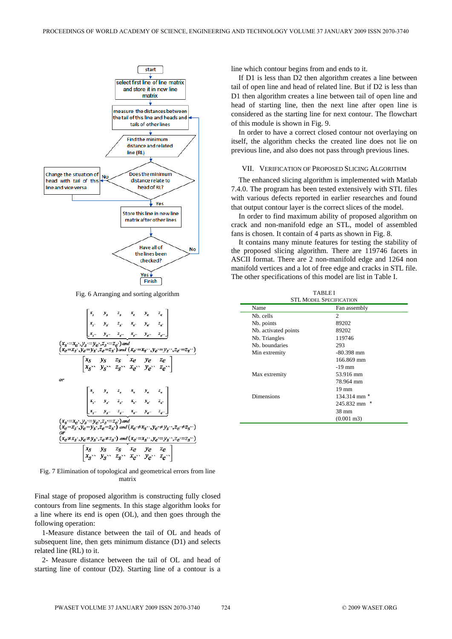

Fig. 6 Arranging and sorting algorithm

$$
\begin{bmatrix}\nx_3 & y_3 & z_3 & x_e & y_e & z_e \\
x_x & y_x & z_x & x_e & y_e & z_e \\
x_y & y_y & z_x & z_e & y_e & z_e\n\end{bmatrix}
$$
\n
$$
(x_3=x_e, y_3:=y_e, z_3:=z_e)
$$
 and  
\n
$$
(x_e=x_s, y_e=y_s, z_e=z_s)
$$
 and 
$$
(x_e=x_s, y_e=y_s, z_e=z_s)
$$
 and 
$$
(x_e=x_s, y_e=y_s, z_e=z_s)
$$

Fig. 7 Elimination of topological and geometrical errors from line matrix

Final stage of proposed algorithm is constructing fully closed contours from line segments. In this stage algorithm looks for a line where its end is open (OL), and then goes through the following operation:

1-Measure distance between the tail of OL and heads of subsequent line, then gets minimum distance (D1) and selects related line (RL) to it.

2- Measure distance between the tail of OL and head of starting line of contour (D2). Starting line of a contour is a line which contour begins from and ends to it.

If D1 is less than D2 then algorithm creates a line between tail of open line and head of related line. But if D2 is less than D1 then algorithm creates a line between tail of open line and head of starting line, then the next line after open line is considered as the starting line for next contour. The flowchart of this module is shown in Fig. 9.

In order to have a correct closed contour not overlaying on itself, the algorithm checks the created line does not lie on previous line, and also does not pass through previous lines.

#### VII. VERIFICATION OF PROPOSED SLICING ALGORITHM

The enhanced slicing algorithm is implemented with Matlab 7.4.0. The program has been tested extensively with STL files with various defects reported in earlier researches and found that output contour layer is the correct slices of the model.

In order to find maximum ability of proposed algorithm on crack and non-manifold edge an STL, model of assembled fans is chosen. It contain of 4 parts as shown in Fig. 8.

It contains many minute features for testing the stability of the proposed slicing algorithm. There are 119746 facets in ASCII format. There are 2 non-manifold edge and 1264 non manifold vertices and a lot of free edge and cracks in STL file. The other specifications of this model are list in Table I.

| <b>TABLE I</b>                 |                       |  |
|--------------------------------|-----------------------|--|
| <b>STL MODEL SPECIFICATION</b> |                       |  |
| Name                           | Fan assembly          |  |
| N <sub>b</sub> . cells         | 2                     |  |
| Nb. points                     | 89202                 |  |
| Nb. activated points           | 89202                 |  |
| Nb. Triangles                  | 119746                |  |
| Nb. boundaries                 | 293                   |  |
| Min extremity                  | $-80.398$ mm          |  |
|                                | 166.869 mm            |  |
|                                | $-19$ mm              |  |
| Max extremity                  | 53.916 mm             |  |
|                                | 78.964 mm             |  |
|                                | $19 \text{ mm}$       |  |
| Dimensions                     | $134.314$ mm $*$      |  |
|                                | 245.832 mm<br>$\star$ |  |
|                                | 38 mm                 |  |
|                                | $(0.001 \text{ m}^3)$ |  |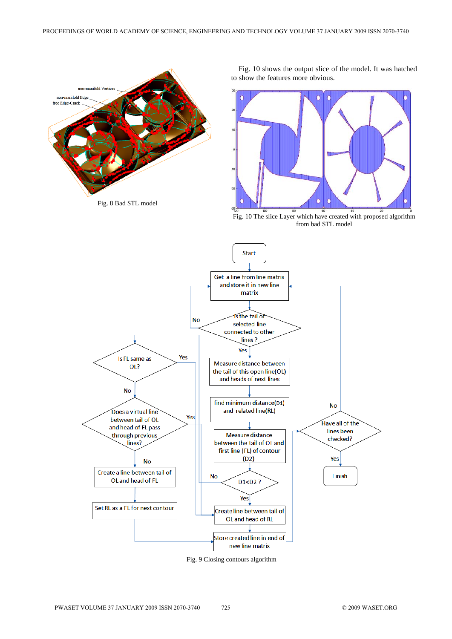



Fig. 10 shows the output slice of the model. It was hatched to show the features more obvious.



Fig. 10 The slice Layer which have created with proposed algorithm from bad STL model



Fig. 9 Closing contours algorithm